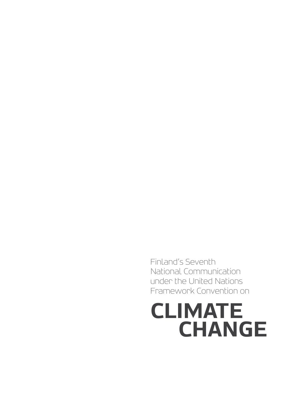# **Climate Change**

Finland's Seventh National Communication under the United Nations Framework Convention on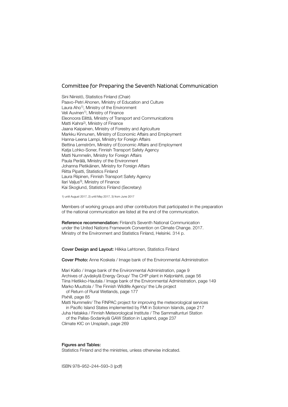#### Committee for Preparing the Seventh National Communication

Sini Niinistö, Statistics Finland (Chair) Paavo-Petri Ahonen, Ministry of Education and Culture Laura Aho<sup>1)</sup>, Ministry of the Environment Veli Auvinen<sup>1)</sup>, Ministry of Finance Eleonoora Eilittä, Ministry of Transport and Communications Matti Kahra2), Ministry of Finance Jaana Kaipainen, Ministry of Forestry and Agriculture Markku Kinnunen, Ministry of Economic Affairs and Employment Hanna-Leena Lampi, Ministry for Foreign Affairs Bettina Lemström, Ministry of Economic Affairs and Employment Katja Lohko-Soner, Finnish Transport Safety Agency Matti Nummelin, Ministry for Foreign Affairs Paula Perälä, Ministry of the Environment Johanna Pietikäinen, Ministry for Foreign Affairs Riitta Pipatti, Statistics Finland Laura Riipinen, Finnish Transport Safety Agency Ilari Valius<sup>3</sup>), Ministry of Finance Kai Skoglund, Statistics Finland (Secretary)

1) until August 2017, 2) until May 2017, 3) from June 2017

Members of working groups and other contributors that participated in the preparation of the national communication are listed at the end of the communication.

Reference recommendation: Finland's Seventh National Communication under the United Nations Framework Convention on Climate Change. 2017. Ministry of the Environment and Statistics Finland, Helsinki. 314 p.

Cover Design and Layout: Hilkka Lehtonen, Statistics Finland

Cover Photo: Anne Koskela / Image bank of the Environmental Administration

Mari Kallio / Image bank of the Environmental Administration, page 9 Archives of Jyväskylä Energy Group/ The CHP plant in Keljonlahti, page 56 Tiina Hietikko-Hautala / Image bank of the Environmental Administration, page 149 Marko Muuttola / The Finnish Wildlife Agency/ the Life project

of Return of Rural Wetlands, page 177

Pixhill, page 85

Matti Nummelin/ The FINPAC project for improving the meteorological services in Pacific Island States implemented by FMI in Solomon Islands, page 217

Juha Hatakka / Finnish Meteorological Institute / The Sammaltunturi Station of the Pallas-Sodankylä GAW Station in Lapland, page 237

Climate KIC on Unsplash, page 269

#### Figures and Tables:

Statistics Finland and the ministries, unless otherwise indicated.

ISBN 978–952–244–593–3 (pdf)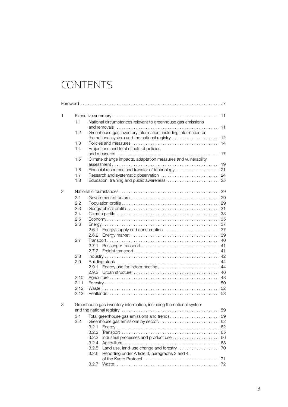## **CONTENTS**

| 1 |      |                                                                     |  |  |  |
|---|------|---------------------------------------------------------------------|--|--|--|
|   | 1.1  | National circumstances relevant to greenhouse gas emissions         |  |  |  |
|   | 1.2  | Greenhouse gas inventory information, including information on      |  |  |  |
|   | 1.3  |                                                                     |  |  |  |
|   | 1.4  | Projections and total effects of policies                           |  |  |  |
|   | 1.5  | Climate change impacts, adaptation measures and vulnerability       |  |  |  |
|   | 1.6  |                                                                     |  |  |  |
|   | 1.7  |                                                                     |  |  |  |
|   | 1.8  | Education, training and public awareness  25                        |  |  |  |
| 2 |      |                                                                     |  |  |  |
|   | 2.1  |                                                                     |  |  |  |
|   | 2.2  |                                                                     |  |  |  |
|   | 2.3  |                                                                     |  |  |  |
|   | 2.4  |                                                                     |  |  |  |
|   | 2.5  |                                                                     |  |  |  |
|   | 2.6  |                                                                     |  |  |  |
|   |      |                                                                     |  |  |  |
|   | 2.7  |                                                                     |  |  |  |
|   |      | 2.7.1                                                               |  |  |  |
|   |      |                                                                     |  |  |  |
|   | 2.8  |                                                                     |  |  |  |
|   | 2.9  |                                                                     |  |  |  |
|   |      | 2.9.1 Energy use for indoor heating 44                              |  |  |  |
|   |      | 2.9.2                                                               |  |  |  |
|   | 2.10 |                                                                     |  |  |  |
|   | 2.11 |                                                                     |  |  |  |
|   | 2.12 |                                                                     |  |  |  |
|   | 2.13 |                                                                     |  |  |  |
| 3 |      | Greenhouse gas inventory information, including the national system |  |  |  |
|   |      |                                                                     |  |  |  |
|   | 3.1  | Total greenhouse gas emissions and trends59                         |  |  |  |
|   | 3.2  |                                                                     |  |  |  |
|   |      | 3.2.1<br>3.2.2                                                      |  |  |  |
|   |      | 3.2.3                                                               |  |  |  |
|   |      | 3.2.4                                                               |  |  |  |
|   |      | 3.2.5                                                               |  |  |  |
|   |      | Reporting under Article 3, paragraphs 3 and 4,<br>3.2.6             |  |  |  |
|   |      |                                                                     |  |  |  |
|   |      | 3.2.7                                                               |  |  |  |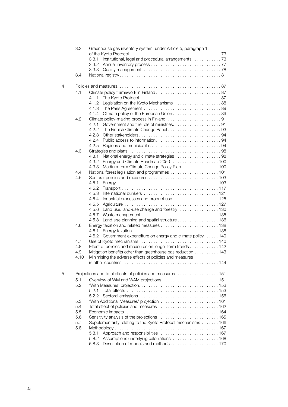|   | 3.3                                                       | Greenhouse gas inventory system, under Article 5, paragraph 1, |  |  |  |  |
|---|-----------------------------------------------------------|----------------------------------------------------------------|--|--|--|--|
|   |                                                           | Institutional, legal and procedural arrangements 73<br>3.3.1   |  |  |  |  |
|   |                                                           |                                                                |  |  |  |  |
|   |                                                           |                                                                |  |  |  |  |
|   | 3.4                                                       |                                                                |  |  |  |  |
|   |                                                           |                                                                |  |  |  |  |
| 4 |                                                           |                                                                |  |  |  |  |
|   | 4.1                                                       |                                                                |  |  |  |  |
|   |                                                           | 4.1.1                                                          |  |  |  |  |
|   |                                                           | Legislation on the Kyoto Mechanisms  88<br>4.1.2               |  |  |  |  |
|   |                                                           | 4.1.3                                                          |  |  |  |  |
|   |                                                           | 4.1.4                                                          |  |  |  |  |
|   | 4.2                                                       | Climate policy-making process in Finland 91                    |  |  |  |  |
|   |                                                           | 4.2.1                                                          |  |  |  |  |
|   |                                                           | 4.2.2                                                          |  |  |  |  |
|   |                                                           |                                                                |  |  |  |  |
|   |                                                           | 4.2.4<br>4.2.5                                                 |  |  |  |  |
|   | 4.3                                                       |                                                                |  |  |  |  |
|   |                                                           | 4.3.1                                                          |  |  |  |  |
|   |                                                           | 4.3.2 Energy and Climate Roadmap 2050  100                     |  |  |  |  |
|   |                                                           | Medium-term Climate Change Policy Plan 100<br>4.3.3            |  |  |  |  |
|   | 4.4                                                       |                                                                |  |  |  |  |
|   | 4.5                                                       |                                                                |  |  |  |  |
|   |                                                           | 4.5.1                                                          |  |  |  |  |
|   |                                                           | 4.5.2                                                          |  |  |  |  |
|   |                                                           | 4.5.3                                                          |  |  |  |  |
|   |                                                           | 4.5.4<br>Industrial processes and product use  125             |  |  |  |  |
|   |                                                           | 4.5.5                                                          |  |  |  |  |
|   |                                                           | Land use, land-use change and forestry  130<br>4.5.6           |  |  |  |  |
|   |                                                           | 4.5.7                                                          |  |  |  |  |
|   |                                                           | Land-use planning and spatial structure 136<br>4.5.8           |  |  |  |  |
|   | 4.6                                                       | 4.6.1                                                          |  |  |  |  |
|   |                                                           | 4.6.2 Government expenditure on energy and climate policy 140  |  |  |  |  |
|   | 4.7                                                       |                                                                |  |  |  |  |
|   | 4.8                                                       | Effect of policies and measures on longer term trends 142      |  |  |  |  |
|   | 4.9                                                       | Mitigation benefits other than greenhouse gas reduction 143    |  |  |  |  |
|   | 4.10                                                      | Minimising the adverse effects of policies and measures        |  |  |  |  |
|   |                                                           |                                                                |  |  |  |  |
| 5 | Projections and total effects of policies and measures151 |                                                                |  |  |  |  |
|   | 5.1                                                       |                                                                |  |  |  |  |
|   | 5.2                                                       |                                                                |  |  |  |  |
|   |                                                           | 5.2.1                                                          |  |  |  |  |
|   |                                                           | 5.2.2                                                          |  |  |  |  |
|   | 5.3                                                       |                                                                |  |  |  |  |
|   | 5.4                                                       |                                                                |  |  |  |  |
|   | 5.5                                                       |                                                                |  |  |  |  |
|   | 5.6                                                       |                                                                |  |  |  |  |
|   | 5.7                                                       | Supplementarity relating to the Kyoto Protocol mechanisms 166  |  |  |  |  |
|   | 5.8                                                       |                                                                |  |  |  |  |
|   |                                                           | 5.8.1                                                          |  |  |  |  |
|   |                                                           | Assumptions underlying calculations  168<br>5.8.2              |  |  |  |  |
|   |                                                           | 5.8.3                                                          |  |  |  |  |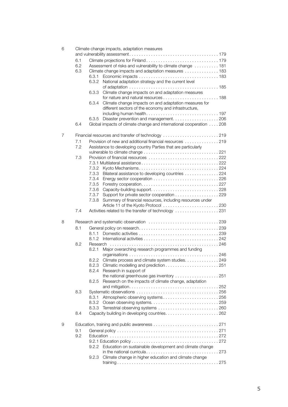| 6 | Climate change impacts, adaptation measures        |                                                                    |  |  |  |
|---|----------------------------------------------------|--------------------------------------------------------------------|--|--|--|
|   |                                                    |                                                                    |  |  |  |
|   | 6.1                                                |                                                                    |  |  |  |
|   | 6.2                                                | Assessment of risks and vulnerability to climate change  181       |  |  |  |
|   | 6.3                                                | Climate change impacts and adaptation measures 183                 |  |  |  |
|   |                                                    | 6.3.1                                                              |  |  |  |
|   |                                                    | 6.3.2<br>National adaptation strategy and the current level        |  |  |  |
|   |                                                    |                                                                    |  |  |  |
|   |                                                    | Climate change impacts on and adaptation measures<br>6.3.3         |  |  |  |
|   |                                                    |                                                                    |  |  |  |
|   |                                                    | Climate change impacts on and adaptation measures for<br>6.3.4     |  |  |  |
|   |                                                    | different sectors of the economy and infrastructure,               |  |  |  |
|   |                                                    |                                                                    |  |  |  |
|   |                                                    | Disaster prevention and management206<br>6.3.5                     |  |  |  |
|   | 6.4                                                | Global impacts of climate change and international cooperation 208 |  |  |  |
| 7 | Financial resources and transfer of technology 219 |                                                                    |  |  |  |
|   | 7.1                                                | Provision of new and additional financial resources 219            |  |  |  |
|   | 7.2                                                | Assistance to developing country Parties that are particularly     |  |  |  |
|   |                                                    |                                                                    |  |  |  |
|   | 7.3                                                |                                                                    |  |  |  |
|   |                                                    |                                                                    |  |  |  |
|   |                                                    | 7.3.2                                                              |  |  |  |
|   |                                                    | Bilateral assistance to developing countries 224<br>7.3.3          |  |  |  |
|   |                                                    | 7.3.4                                                              |  |  |  |
|   |                                                    | 7.3.5                                                              |  |  |  |
|   |                                                    | 7.3.6                                                              |  |  |  |
|   |                                                    | 7.3.7<br>Support for private sector cooperation 229                |  |  |  |
|   |                                                    | 7.3.8<br>Summary of financial resources, including resources under |  |  |  |
|   |                                                    |                                                                    |  |  |  |
|   | 7.4                                                | Activities related to the transfer of technology 231               |  |  |  |
| 8 |                                                    |                                                                    |  |  |  |
|   | 8.1                                                |                                                                    |  |  |  |
|   |                                                    | 8.1.1                                                              |  |  |  |
|   |                                                    | 8.1.2                                                              |  |  |  |
|   | 8.2                                                |                                                                    |  |  |  |
|   |                                                    | Major overarching research programmes and funding<br>8.2.1         |  |  |  |
|   |                                                    |                                                                    |  |  |  |
|   |                                                    | 8.2.2 Climate process and climate system studies. 249              |  |  |  |
|   |                                                    | 8.2.3                                                              |  |  |  |
|   |                                                    | 8.2.4<br>Research in support of                                    |  |  |  |
|   |                                                    | the national greenhouse gas inventory 251                          |  |  |  |
|   |                                                    | 8.2.5<br>Research on the impacts of climate change, adaptation     |  |  |  |
|   |                                                    |                                                                    |  |  |  |
|   | 8.3                                                |                                                                    |  |  |  |
|   |                                                    | Atmospheric observing systems256<br>8.3.1                          |  |  |  |
|   |                                                    | 8.3.2                                                              |  |  |  |
|   |                                                    | 8.3.3                                                              |  |  |  |
|   | 8.4                                                |                                                                    |  |  |  |
| 9 |                                                    |                                                                    |  |  |  |
|   | 9.1                                                |                                                                    |  |  |  |
|   | 9.2                                                |                                                                    |  |  |  |
|   |                                                    |                                                                    |  |  |  |
|   |                                                    | Education on sustainable development and climate change<br>9.2.2   |  |  |  |
|   |                                                    |                                                                    |  |  |  |
|   |                                                    | Climate change in higher education and climate change<br>9.2.3     |  |  |  |
|   |                                                    |                                                                    |  |  |  |
|   |                                                    |                                                                    |  |  |  |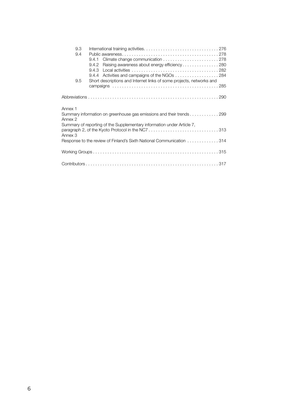| 9.3     |                                                                        |  |
|---------|------------------------------------------------------------------------|--|
| 9.4     |                                                                        |  |
|         | 9.4.1                                                                  |  |
|         | 9.4.2 Raising awareness about energy efficiency280                     |  |
|         |                                                                        |  |
|         |                                                                        |  |
| 9.5     | Short descriptions and Internet links of some projects, networks and   |  |
|         |                                                                        |  |
|         |                                                                        |  |
|         |                                                                        |  |
| Annex 1 |                                                                        |  |
|         | Summary information on greenhouse gas emissions and their trends 299   |  |
| Annex 2 |                                                                        |  |
|         | Summary of reporting of the Supplementary information under Article 7. |  |
|         | paragraph 2, of the Kyoto Protocol in the NC7313                       |  |
| Annex 3 |                                                                        |  |
|         | Response to the review of Finland's Sixth National Communication 314   |  |
|         |                                                                        |  |
|         |                                                                        |  |
|         |                                                                        |  |
|         |                                                                        |  |
|         |                                                                        |  |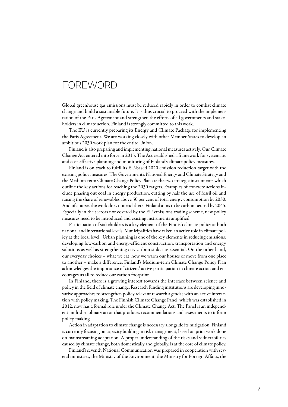### **FOREWORD**

Global greenhouse gas emissions must be reduced rapidly in order to combat climate change and build a sustainable future. It is thus crucial to proceed with the implementation of the Paris Agreement and strengthen the efforts of all governments and stakeholders in climate action. Finland is strongly committed to this work.

The EU is currently preparing its Energy and Climate Package for implementing the Paris Agreement. We are working closely with other Member States to develop an ambitious 2030 work plan for the entire Union.

Finland is also preparing and implementing national measures actively. Our Climate Change Act entered into force in 2015. The Act established a framework for systematic and cost-effective planning and monitoring of Finland's climate policy measures.

Finland is on track to fulfil its EU-based 2020 emission reduction target with the existing policy measures. The Government's National Energy and Climate Strategy and the Medium-term Climate Change Policy Plan are the two strategic instruments which outline the key actions for reaching the 2030 targets. Examples of concrete actions include phasing out coal in energy production, cutting by half the use of fossil oil and raising the share of renewables above 50 per cent of total energy consumption by 2030. And of course, the work does not end there. Finland aims to be carbon neutral by 2045. Especially in the sectors not covered by the EU emissions trading scheme, new policy measures need to be introduced and existing instruments amplified.

Participation of stakeholders is a key element of the Finnish climate policy at both national and international levels. Municipalities have taken an active role in climate policy at the local level. Urban planning is one of the key elements in reducing emissions: developing low-carbon and energy-efficient construction, transportation and energy solutions as well as strengthening city carbon sinks are essential. On the other hand, our everyday choices – what we eat, how we warm our houses or move from one place to another – make a difference. Finland's Medium-term Climate Change Policy Plan acknowledges the importance of citizens' active participation in climate action and encourages us all to reduce our carbon footprint.

In Finland, there is a growing interest towards the interface between science and policy in the field of climate change. Research funding institutions are developing innovative approaches to strengthen policy relevant research agendas with an active interaction with policy making. The Finnish Climate Change Panel, which was established in 2012, now has a formal role under the Climate Change Act. The Panel is an independent multidisciplinary actor that produces recommendations and assessments to inform policy-making.

Action in adaptation to climate change is necessary alongside its mitigation. Finland is currently focusing on capacity building in risk management, based on prior work done on mainstreaming adaptation. A proper understanding of the risks and vulnerabilities caused by climate change, both domestically and globally, is at the core of climate policy.

Finland's seventh National Communication was prepared in cooperation with several ministries, the Ministry of the Environment, the Ministry for Foreign Affairs, the